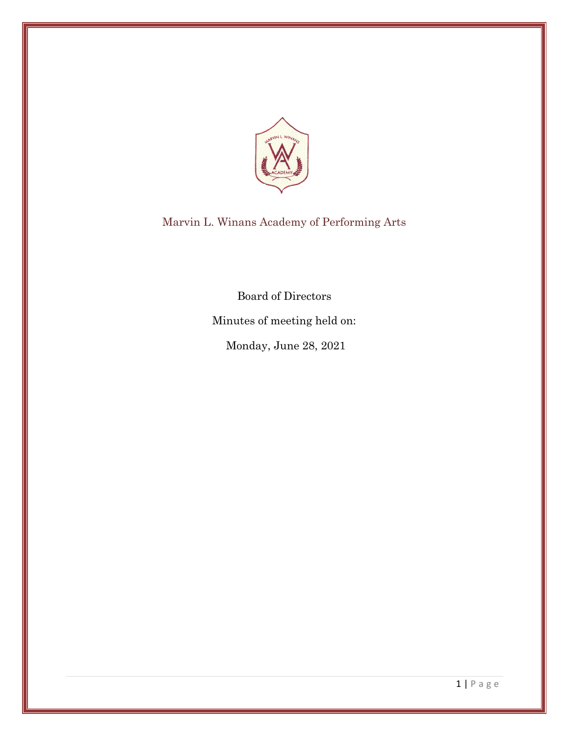

Marvin L. Winans Academy of Performing Arts

Board of Directors

Minutes of meeting held on:

Monday, June 28, 2021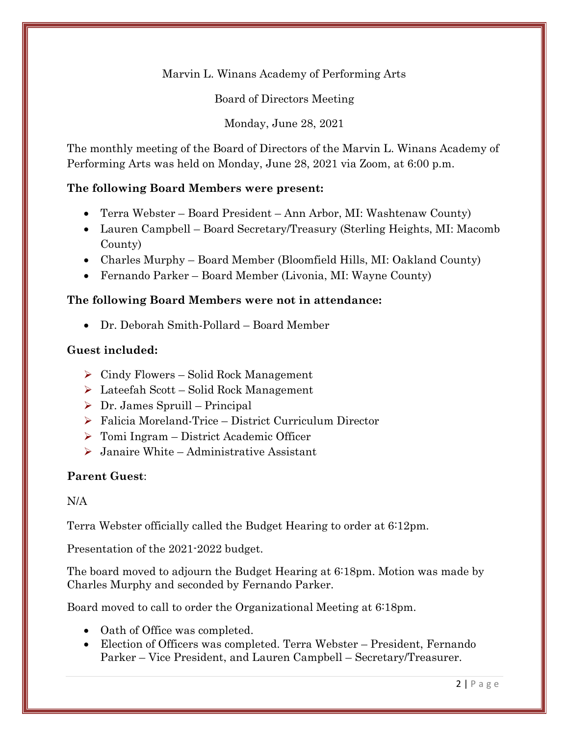Marvin L. Winans Academy of Performing Arts

Board of Directors Meeting

Monday, June 28, 2021

The monthly meeting of the Board of Directors of the Marvin L. Winans Academy of Performing Arts was held on Monday, June 28, 2021 via Zoom, at 6:00 p.m.

# **The following Board Members were present:**

- Terra Webster Board President Ann Arbor, MI: Washtenaw County)
- Lauren Campbell Board Secretary/Treasury (Sterling Heights, MI: Macomb County)
- Charles Murphy Board Member (Bloomfield Hills, MI: Oakland County)
- Fernando Parker Board Member (Livonia, MI: Wayne County)

# **The following Board Members were not in attendance:**

• Dr. Deborah Smith-Pollard – Board Member

## **Guest included:**

- $\triangleright$  Cindy Flowers Solid Rock Management
- ➢ Lateefah Scott Solid Rock Management
- $\triangleright$  Dr. James Spruill Principal
- ➢ Falicia Moreland-Trice District Curriculum Director
- ➢ Tomi Ingram District Academic Officer
- $\triangleright$  Janaire White Administrative Assistant

### **Parent Guest**:

### N/A

Terra Webster officially called the Budget Hearing to order at 6:12pm.

Presentation of the 2021-2022 budget.

The board moved to adjourn the Budget Hearing at 6:18pm. Motion was made by Charles Murphy and seconded by Fernando Parker.

Board moved to call to order the Organizational Meeting at 6:18pm.

- Oath of Office was completed.
- Election of Officers was completed. Terra Webster President, Fernando Parker – Vice President, and Lauren Campbell – Secretary/Treasurer.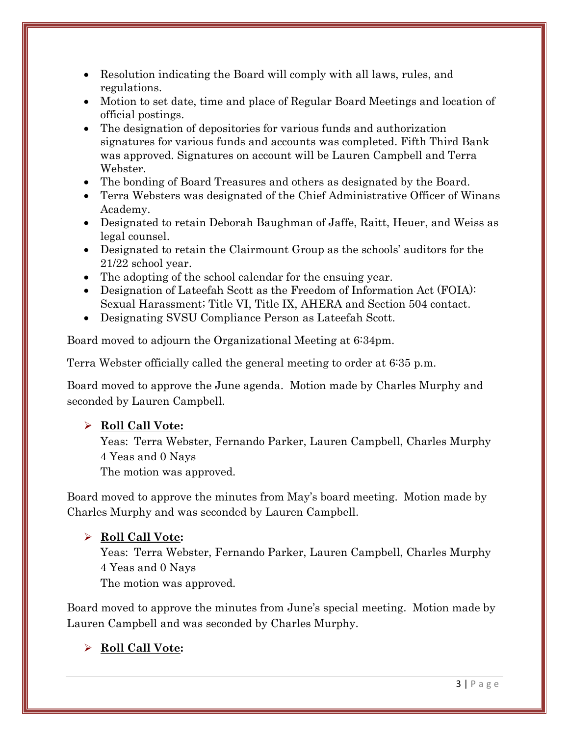- Resolution indicating the Board will comply with all laws, rules, and regulations.
- Motion to set date, time and place of Regular Board Meetings and location of official postings.
- The designation of depositories for various funds and authorization signatures for various funds and accounts was completed. Fifth Third Bank was approved. Signatures on account will be Lauren Campbell and Terra Webster.
- The bonding of Board Treasures and others as designated by the Board.
- Terra Websters was designated of the Chief Administrative Officer of Winans Academy.
- Designated to retain Deborah Baughman of Jaffe, Raitt, Heuer, and Weiss as legal counsel.
- Designated to retain the Clairmount Group as the schools' auditors for the 21/22 school year.
- The adopting of the school calendar for the ensuing year.
- Designation of Lateefah Scott as the Freedom of Information Act (FOIA): Sexual Harassment; Title VI, Title IX, AHERA and Section 504 contact.
- Designating SVSU Compliance Person as Lateefah Scott.

Board moved to adjourn the Organizational Meeting at 6:34pm.

Terra Webster officially called the general meeting to order at 6:35 p.m.

Board moved to approve the June agenda. Motion made by Charles Murphy and seconded by Lauren Campbell.

# ➢ **Roll Call Vote:**

Yeas: Terra Webster, Fernando Parker, Lauren Campbell, Charles Murphy 4 Yeas and 0 Nays

The motion was approved.

Board moved to approve the minutes from May's board meeting. Motion made by Charles Murphy and was seconded by Lauren Campbell.

# ➢ **Roll Call Vote:**

Yeas: Terra Webster, Fernando Parker, Lauren Campbell, Charles Murphy 4 Yeas and 0 Nays

The motion was approved.

Board moved to approve the minutes from June's special meeting. Motion made by Lauren Campbell and was seconded by Charles Murphy.

# ➢ **Roll Call Vote:**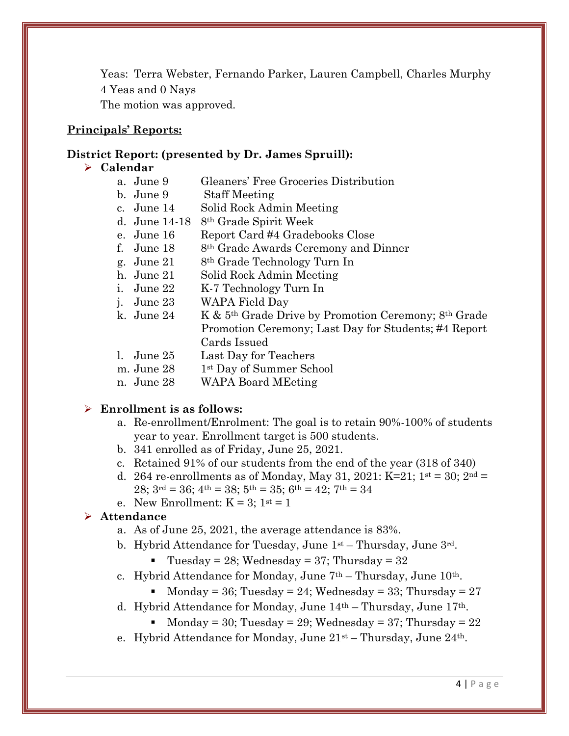Yeas: Terra Webster, Fernando Parker, Lauren Campbell, Charles Murphy 4 Yeas and 0 Nays The motion was approved.

#### **Principals' Reports:**

#### **District Report: (presented by Dr. James Spruill):**

#### ➢ **Calendar**

- a. June 9 Gleaners' Free Groceries Distribution
- b. June 9 Staff Meeting
- c. June 14 Solid Rock Admin Meeting
- d. June 14-18 8th Grade Spirit Week
- e. June 16 Report Card #4 Gradebooks Close
- f. June  $18$  8<sup>th</sup> Grade Awards Ceremony and Dinner
- g. June 21 8th Grade Technology Turn In
- h. June 21 Solid Rock Admin Meeting
- i. June 22 K-7 Technology Turn In
- j. June 23 WAPA Field Day
- k. June 24 K & 5th Grade Drive by Promotion Ceremony; 8th Grade Promotion Ceremony; Last Day for Students; #4 Report Cards Issued
- l. June 25 Last Day for Teachers
- m. June 28 1<sup>st</sup> Day of Summer School
- n. June 28 WAPA Board MEeting

#### ➢ **Enrollment is as follows:**

- a. Re-enrollment/Enrolment: The goal is to retain 90%-100% of students year to year. Enrollment target is 500 students.
- b. 341 enrolled as of Friday, June 25, 2021.
- c. Retained 91% of our students from the end of the year (318 of 340)
- d. 264 re-enrollments as of Monday, May 31, 2021: K=21;  $1^{st} = 30$ ;  $2^{nd} =$ 28;  $3^{\text{rd}} = 36$ ;  $4^{\text{th}} = 38$ ;  $5^{\text{th}} = 35$ ;  $6^{\text{th}} = 42$ ;  $7^{\text{th}} = 34$
- e. New Enrollment:  $K = 3$ ;  $1^{st} = 1$

#### ➢ **Attendance**

- a. As of June 25, 2021, the average attendance is 83%.
- b. Hybrid Attendance for Tuesday, June  $1<sup>st</sup>$  Thursday, June  $3<sup>rd</sup>$ .
	- **•** Tuesday = 28; Wednesday = 37; Thursday =  $32$
- c. Hybrid Attendance for Monday, June  $7<sup>th</sup>$  Thursday, June  $10<sup>th</sup>$ .
	- Monday = 36; Tuesday = 24; Wednesday = 33; Thursday = 27
- d. Hybrid Attendance for Monday, June 14th Thursday, June 17th.
	- Monday = 30; Tuesday = 29; Wednesday = 37; Thursday =  $22$
- e. Hybrid Attendance for Monday, June  $21^{st}$  Thursday, June  $24^{th}$ .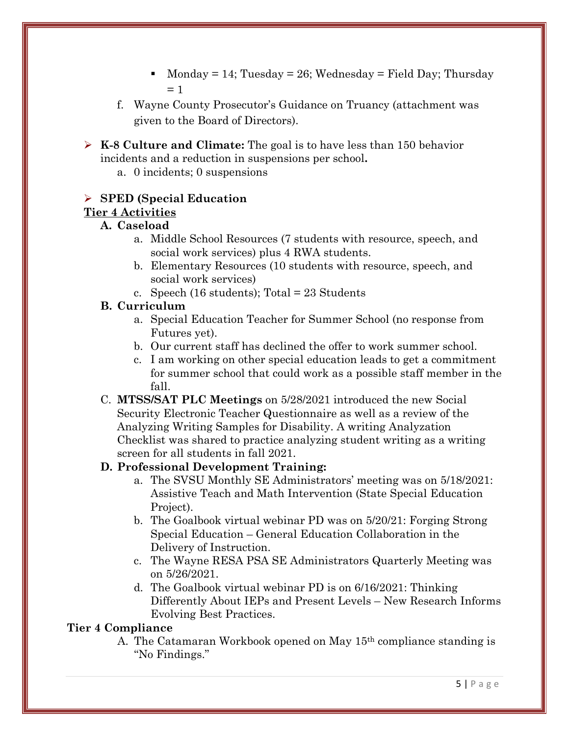- Monday = 14; Tuesday = 26; Wednesday = Field Day; Thursday  $= 1$
- f. Wayne County Prosecutor's Guidance on Truancy (attachment was given to the Board of Directors).
- ➢ **K-8 Culture and Climate:** The goal is to have less than 150 behavior incidents and a reduction in suspensions per school**.** 
	- a. 0 incidents; 0 suspensions

# ➢ **SPED (Special Education**

# **Tier 4 Activities**

## **A. Caseload**

- a. Middle School Resources (7 students with resource, speech, and social work services) plus 4 RWA students.
- b. Elementary Resources (10 students with resource, speech, and social work services)
- c. Speech (16 students); Total = 23 Students

# **B. Curriculum**

- a. Special Education Teacher for Summer School (no response from Futures yet).
- b. Our current staff has declined the offer to work summer school.
- c. I am working on other special education leads to get a commitment for summer school that could work as a possible staff member in the fall.
- C. **MTSS/SAT PLC Meetings** on 5/28/2021 introduced the new Social Security Electronic Teacher Questionnaire as well as a review of the Analyzing Writing Samples for Disability. A writing Analyzation Checklist was shared to practice analyzing student writing as a writing screen for all students in fall 2021.

# **D. Professional Development Training:**

- a. The SVSU Monthly SE Administrators' meeting was on 5/18/2021: Assistive Teach and Math Intervention (State Special Education Project).
- b. The Goalbook virtual webinar PD was on 5/20/21: Forging Strong Special Education – General Education Collaboration in the Delivery of Instruction.
- c. The Wayne RESA PSA SE Administrators Quarterly Meeting was on 5/26/2021.
- d. The Goalbook virtual webinar PD is on 6/16/2021: Thinking Differently About IEPs and Present Levels – New Research Informs Evolving Best Practices.

### **Tier 4 Compliance**

A. The Catamaran Workbook opened on May 15th compliance standing is "No Findings."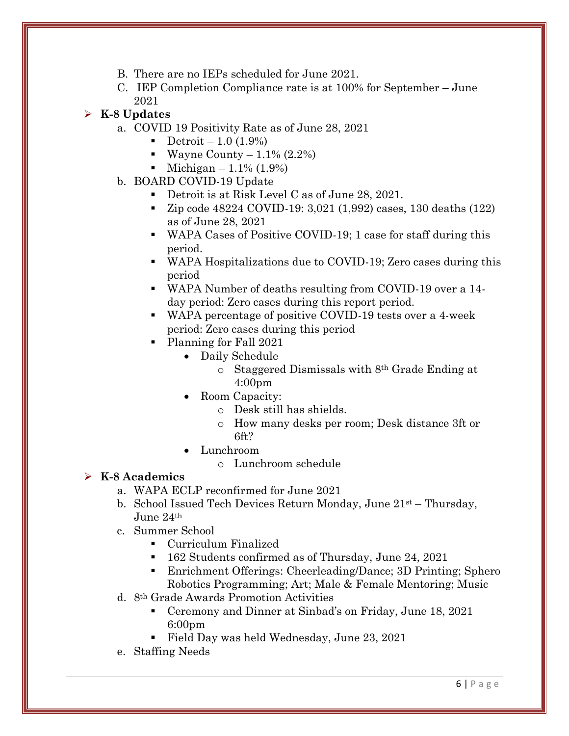- B. There are no IEPs scheduled for June 2021.
- C. IEP Completion Compliance rate is at 100% for September June 2021

# ➢ **K-8 Updates**

- a. COVID 19 Positivity Rate as of June 28, 2021
	- Detroit  $-1.0$  (1.9%)
	- Wayne County  $-1.1\%$  (2.2%)
	- Michigan  $1.1\%$  (1.9%)
- b. BOARD COVID-19 Update
	- Detroit is at Risk Level C as of June 28, 2021.
	- Zip code 48224 COVID-19: 3,021 (1,992) cases, 130 deaths (122) as of June 28, 2021
	- WAPA Cases of Positive COVID-19; 1 case for staff during this period.
	- WAPA Hospitalizations due to COVID-19; Zero cases during this period
	- WAPA Number of deaths resulting from COVID-19 over a 14 day period: Zero cases during this report period.
	- WAPA percentage of positive COVID-19 tests over a 4-week period: Zero cases during this period
	- Planning for Fall 2021
		- Daily Schedule
			- o Staggered Dismissals with 8th Grade Ending at 4:00pm
		- Room Capacity:
			- o Desk still has shields.
			- o How many desks per room; Desk distance 3ft or 6ft?
		- Lunchroom
			- o Lunchroom schedule

# ➢ **K-8 Academics**

- a. WAPA ECLP reconfirmed for June 2021
- b. School Issued Tech Devices Return Monday, June 21st Thursday, June 24th
- c. Summer School
	- Curriculum Finalized
	- 162 Students confirmed as of Thursday, June 24, 2021
	- Enrichment Offerings: Cheerleading/Dance; 3D Printing; Sphero Robotics Programming; Art; Male & Female Mentoring; Music
- d. 8th Grade Awards Promotion Activities
	- Ceremony and Dinner at Sinbad's on Friday, June 18, 2021 6:00pm
	- Field Day was held Wednesday, June 23, 2021
- e. Staffing Needs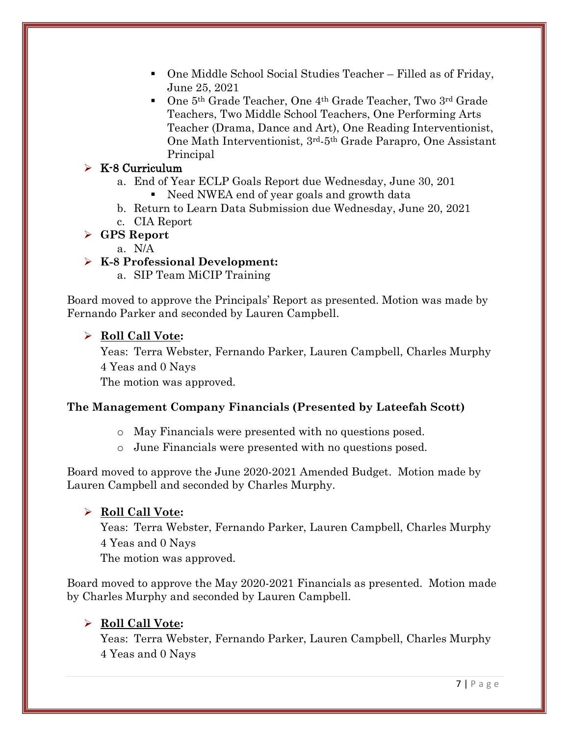- One Middle School Social Studies Teacher Filled as of Friday, June 25, 2021
- One 5<sup>th</sup> Grade Teacher, One 4<sup>th</sup> Grade Teacher, Two 3<sup>rd</sup> Grade Teachers, Two Middle School Teachers, One Performing Arts Teacher (Drama, Dance and Art), One Reading Interventionist, One Math Interventionist, 3rd-5th Grade Parapro, One Assistant Principal

# ➢ K-8 Curriculum

- a. End of Year ECLP Goals Report due Wednesday, June 30, 201
	- Need NWEA end of year goals and growth data
- b. Return to Learn Data Submission due Wednesday, June 20, 2021
- c. CIA Report

## ➢ **GPS Report**

a. N/A

# ➢ **K-8 Professional Development:**

a. SIP Team MiCIP Training

Board moved to approve the Principals' Report as presented. Motion was made by Fernando Parker and seconded by Lauren Campbell.

## ➢ **Roll Call Vote:**

Yeas: Terra Webster, Fernando Parker, Lauren Campbell, Charles Murphy 4 Yeas and 0 Nays

The motion was approved.

# **The Management Company Financials (Presented by Lateefah Scott)**

- o May Financials were presented with no questions posed.
- o June Financials were presented with no questions posed.

Board moved to approve the June 2020-2021 Amended Budget. Motion made by Lauren Campbell and seconded by Charles Murphy.

# ➢ **Roll Call Vote:**

Yeas: Terra Webster, Fernando Parker, Lauren Campbell, Charles Murphy 4 Yeas and 0 Nays

The motion was approved.

Board moved to approve the May 2020-2021 Financials as presented. Motion made by Charles Murphy and seconded by Lauren Campbell.

# ➢ **Roll Call Vote:**

Yeas: Terra Webster, Fernando Parker, Lauren Campbell, Charles Murphy 4 Yeas and 0 Nays